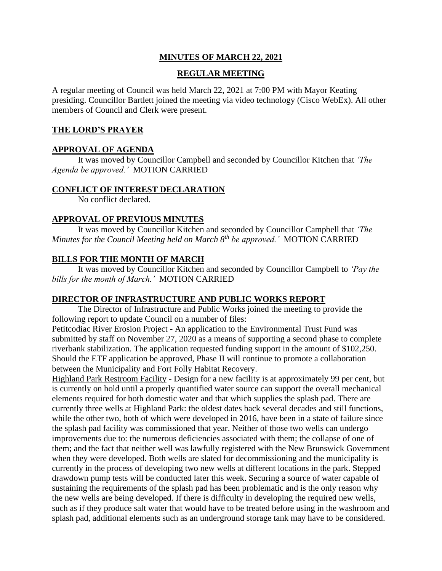# **MINUTES OF MARCH 22, 2021**

### **REGULAR MEETING**

A regular meeting of Council was held March 22, 2021 at 7:00 PM with Mayor Keating presiding. Councillor Bartlett joined the meeting via video technology (Cisco WebEx). All other members of Council and Clerk were present.

#### **THE LORD'S PRAYER**

### **APPROVAL OF AGENDA**

It was moved by Councillor Campbell and seconded by Councillor Kitchen that *'The Agenda be approved.'* MOTION CARRIED

#### **CONFLICT OF INTEREST DECLARATION**

No conflict declared.

#### **APPROVAL OF PREVIOUS MINUTES**

It was moved by Councillor Kitchen and seconded by Councillor Campbell that *'The Minutes for the Council Meeting held on March 8th be approved.'* MOTION CARRIED

# **BILLS FOR THE MONTH OF MARCH**

It was moved by Councillor Kitchen and seconded by Councillor Campbell to *'Pay the bills for the month of March.'* MOTION CARRIED

#### **DIRECTOR OF INFRASTRUCTURE AND PUBLIC WORKS REPORT**

The Director of Infrastructure and Public Works joined the meeting to provide the following report to update Council on a number of files:

Petitcodiac River Erosion Project - An application to the Environmental Trust Fund was submitted by staff on November 27, 2020 as a means of supporting a second phase to complete riverbank stabilization. The application requested funding support in the amount of \$102,250. Should the ETF application be approved, Phase II will continue to promote a collaboration between the Municipality and Fort Folly Habitat Recovery.

Highland Park Restroom Facility - Design for a new facility is at approximately 99 per cent, but is currently on hold until a properly quantified water source can support the overall mechanical elements required for both domestic water and that which supplies the splash pad. There are currently three wells at Highland Park: the oldest dates back several decades and still functions, while the other two, both of which were developed in 2016, have been in a state of failure since the splash pad facility was commissioned that year. Neither of those two wells can undergo improvements due to: the numerous deficiencies associated with them; the collapse of one of them; and the fact that neither well was lawfully registered with the New Brunswick Government when they were developed. Both wells are slated for decommissioning and the municipality is currently in the process of developing two new wells at different locations in the park. Stepped drawdown pump tests will be conducted later this week. Securing a source of water capable of sustaining the requirements of the splash pad has been problematic and is the only reason why the new wells are being developed. If there is difficulty in developing the required new wells, such as if they produce salt water that would have to be treated before using in the washroom and splash pad, additional elements such as an underground storage tank may have to be considered.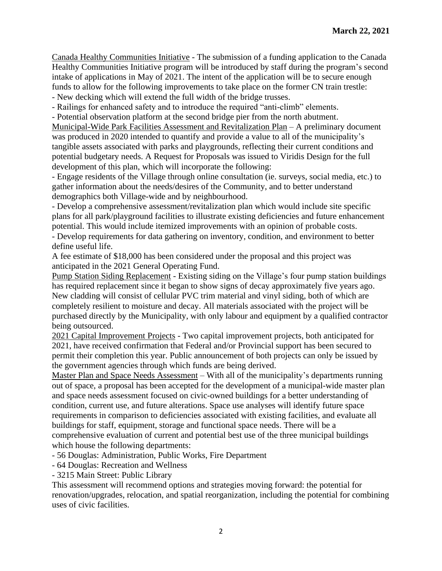Canada Healthy Communities Initiative - The submission of a funding application to the Canada Healthy Communities Initiative program will be introduced by staff during the program's second intake of applications in May of 2021. The intent of the application will be to secure enough funds to allow for the following improvements to take place on the former CN train trestle:

- New decking which will extend the full width of the bridge trusses.

- Railings for enhanced safety and to introduce the required "anti-climb" elements.

- Potential observation platform at the second bridge pier from the north abutment.

Municipal-Wide Park Facilities Assessment and Revitalization Plan – A preliminary document was produced in 2020 intended to quantify and provide a value to all of the municipality's tangible assets associated with parks and playgrounds, reflecting their current conditions and potential budgetary needs. A Request for Proposals was issued to Viridis Design for the full development of this plan, which will incorporate the following:

- Engage residents of the Village through online consultation (ie. surveys, social media, etc.) to gather information about the needs/desires of the Community, and to better understand demographics both Village-wide and by neighbourhood.

- Develop a comprehensive assessment/revitalization plan which would include site specific plans for all park/playground facilities to illustrate existing deficiencies and future enhancement potential. This would include itemized improvements with an opinion of probable costs.

- Develop requirements for data gathering on inventory, condition, and environment to better define useful life.

A fee estimate of \$18,000 has been considered under the proposal and this project was anticipated in the 2021 General Operating Fund.

Pump Station Siding Replacement - Existing siding on the Village's four pump station buildings has required replacement since it began to show signs of decay approximately five years ago. New cladding will consist of cellular PVC trim material and vinyl siding, both of which are completely resilient to moisture and decay. All materials associated with the project will be purchased directly by the Municipality, with only labour and equipment by a qualified contractor being outsourced.

2021 Capital Improvement Projects - Two capital improvement projects, both anticipated for 2021, have received confirmation that Federal and/or Provincial support has been secured to permit their completion this year. Public announcement of both projects can only be issued by the government agencies through which funds are being derived.

Master Plan and Space Needs Assessment – With all of the municipality's departments running out of space, a proposal has been accepted for the development of a municipal-wide master plan and space needs assessment focused on civic-owned buildings for a better understanding of condition, current use, and future alterations. Space use analyses will identify future space requirements in comparison to deficiencies associated with existing facilities, and evaluate all buildings for staff, equipment, storage and functional space needs. There will be a comprehensive evaluation of current and potential best use of the three municipal buildings which house the following departments:

- 56 Douglas: Administration, Public Works, Fire Department

- 64 Douglas: Recreation and Wellness

- 3215 Main Street: Public Library

This assessment will recommend options and strategies moving forward: the potential for renovation/upgrades, relocation, and spatial reorganization, including the potential for combining uses of civic facilities.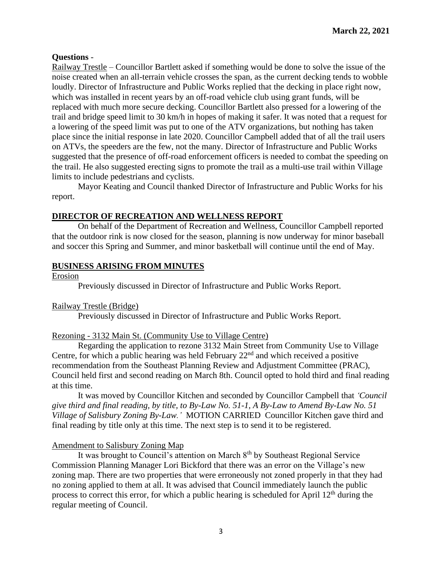# **Questions** -

Railway Trestle – Councillor Bartlett asked if something would be done to solve the issue of the noise created when an all-terrain vehicle crosses the span, as the current decking tends to wobble loudly. Director of Infrastructure and Public Works replied that the decking in place right now, which was installed in recent years by an off-road vehicle club using grant funds, will be replaced with much more secure decking. Councillor Bartlett also pressed for a lowering of the trail and bridge speed limit to 30 km/h in hopes of making it safer. It was noted that a request for a lowering of the speed limit was put to one of the ATV organizations, but nothing has taken place since the initial response in late 2020. Councillor Campbell added that of all the trail users on ATVs, the speeders are the few, not the many. Director of Infrastructure and Public Works suggested that the presence of off-road enforcement officers is needed to combat the speeding on the trail. He also suggested erecting signs to promote the trail as a multi-use trail within Village limits to include pedestrians and cyclists.

Mayor Keating and Council thanked Director of Infrastructure and Public Works for his report.

# **DIRECTOR OF RECREATION AND WELLNESS REPORT**

On behalf of the Department of Recreation and Wellness, Councillor Campbell reported that the outdoor rink is now closed for the season, planning is now underway for minor baseball and soccer this Spring and Summer, and minor basketball will continue until the end of May.

# **BUSINESS ARISING FROM MINUTES**

Erosion

Previously discussed in Director of Infrastructure and Public Works Report.

# Railway Trestle (Bridge)

Previously discussed in Director of Infrastructure and Public Works Report.

# Rezoning - 3132 Main St. (Community Use to Village Centre)

Regarding the application to rezone 3132 Main Street from Community Use to Village Centre, for which a public hearing was held February  $22<sup>nd</sup>$  and which received a positive recommendation from the Southeast Planning Review and Adjustment Committee (PRAC), Council held first and second reading on March 8th. Council opted to hold third and final reading at this time.

It was moved by Councillor Kitchen and seconded by Councillor Campbell that *'Council give third and final reading, by title, to By-Law No. 51-1, A By-Law to Amend By-Law No. 51 Village of Salisbury Zoning By-Law.'* MOTION CARRIED Councillor Kitchen gave third and final reading by title only at this time. The next step is to send it to be registered.

# Amendment to Salisbury Zoning Map

It was brought to Council's attention on March  $8<sup>th</sup>$  by Southeast Regional Service Commission Planning Manager Lori Bickford that there was an error on the Village's new zoning map. There are two properties that were erroneously not zoned properly in that they had no zoning applied to them at all. It was advised that Council immediately launch the public process to correct this error, for which a public hearing is scheduled for April 12<sup>th</sup> during the regular meeting of Council.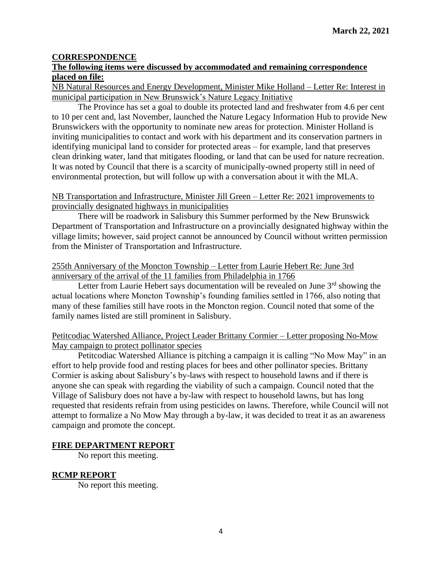### **CORRESPONDENCE**

### **The following items were discussed by accommodated and remaining correspondence placed on file:**

NB Natural Resources and Energy Development, Minister Mike Holland – Letter Re: Interest in municipal participation in New Brunswick's Nature Legacy Initiative

The Province has set a goal to double its protected land and freshwater from 4.6 per cent to 10 per cent and, last November, launched the Nature Legacy Information Hub to provide New Brunswickers with the opportunity to nominate new areas for protection. Minister Holland is inviting municipalities to contact and work with his department and its conservation partners in identifying municipal land to consider for protected areas – for example, land that preserves clean drinking water, land that mitigates flooding, or land that can be used for nature recreation. It was noted by Council that there is a scarcity of municipally-owned property still in need of environmental protection, but will follow up with a conversation about it with the MLA.

#### NB Transportation and Infrastructure, Minister Jill Green – Letter Re: 2021 improvements to provincially designated highways in municipalities

There will be roadwork in Salisbury this Summer performed by the New Brunswick Department of Transportation and Infrastructure on a provincially designated highway within the village limits; however, said project cannot be announced by Council without written permission from the Minister of Transportation and Infrastructure.

### 255th Anniversary of the Moncton Township – Letter from Laurie Hebert Re: June 3rd anniversary of the arrival of the 11 families from Philadelphia in 1766

Letter from Laurie Hebert says documentation will be revealed on June  $3<sup>rd</sup>$  showing the actual locations where Moncton Township's founding families settled in 1766, also noting that many of these families still have roots in the Moncton region. Council noted that some of the family names listed are still prominent in Salisbury.

### Petitcodiac Watershed Alliance, Project Leader Brittany Cormier – Letter proposing No-Mow May campaign to protect pollinator species

Petitcodiac Watershed Alliance is pitching a campaign it is calling "No Mow May" in an effort to help provide food and resting places for bees and other pollinator species. Brittany Cormier is asking about Salisbury's by-laws with respect to household lawns and if there is anyone she can speak with regarding the viability of such a campaign. Council noted that the Village of Salisbury does not have a by-law with respect to household lawns, but has long requested that residents refrain from using pesticides on lawns. Therefore, while Council will not attempt to formalize a No Mow May through a by-law, it was decided to treat it as an awareness campaign and promote the concept.

#### **FIRE DEPARTMENT REPORT**

No report this meeting.

#### **RCMP REPORT**

No report this meeting.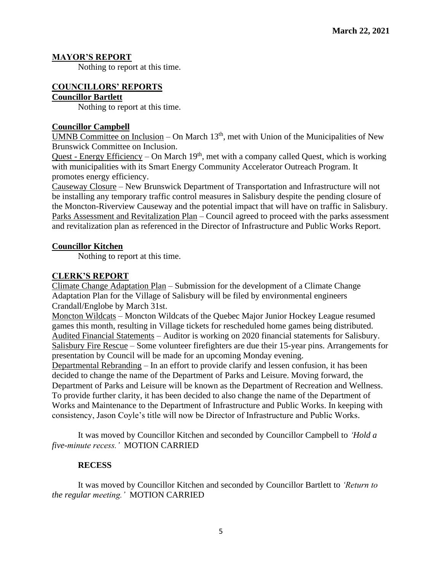### **MAYOR'S REPORT**

Nothing to report at this time.

#### **COUNCILLORS' REPORTS Councillor Bartlett**

Nothing to report at this time.

### **Councillor Campbell**

UMNB Committee on Inclusion – On March  $13<sup>th</sup>$ , met with Union of the Municipalities of New Brunswick Committee on Inclusion.

Quest - Energy Efficiency – On March  $19<sup>th</sup>$ , met with a company called Quest, which is working with municipalities with its Smart Energy Community Accelerator Outreach Program. It promotes energy efficiency.

Causeway Closure – New Brunswick Department of Transportation and Infrastructure will not be installing any temporary traffic control measures in Salisbury despite the pending closure of the Moncton-Riverview Causeway and the potential impact that will have on traffic in Salisbury. Parks Assessment and Revitalization Plan – Council agreed to proceed with the parks assessment and revitalization plan as referenced in the Director of Infrastructure and Public Works Report.

### **Councillor Kitchen**

Nothing to report at this time.

### **CLERK'S REPORT**

Climate Change Adaptation Plan – Submission for the development of a Climate Change Adaptation Plan for the Village of Salisbury will be filed by environmental engineers Crandall/Englobe by March 31st.

Moncton Wildcats – Moncton Wildcats of the Quebec Major Junior Hockey League resumed games this month, resulting in Village tickets for rescheduled home games being distributed. Audited Financial Statements – Auditor is working on 2020 financial statements for Salisbury. Salisbury Fire Rescue – Some volunteer firefighters are due their 15-year pins. Arrangements for presentation by Council will be made for an upcoming Monday evening.

Departmental Rebranding – In an effort to provide clarify and lessen confusion, it has been decided to change the name of the Department of Parks and Leisure. Moving forward, the Department of Parks and Leisure will be known as the Department of Recreation and Wellness. To provide further clarity, it has been decided to also change the name of the Department of Works and Maintenance to the Department of Infrastructure and Public Works. In keeping with consistency, Jason Coyle's title will now be Director of Infrastructure and Public Works.

It was moved by Councillor Kitchen and seconded by Councillor Campbell to *'Hold a five-minute recess.'* MOTION CARRIED

# **RECESS**

It was moved by Councillor Kitchen and seconded by Councillor Bartlett to *'Return to the regular meeting.'* MOTION CARRIED